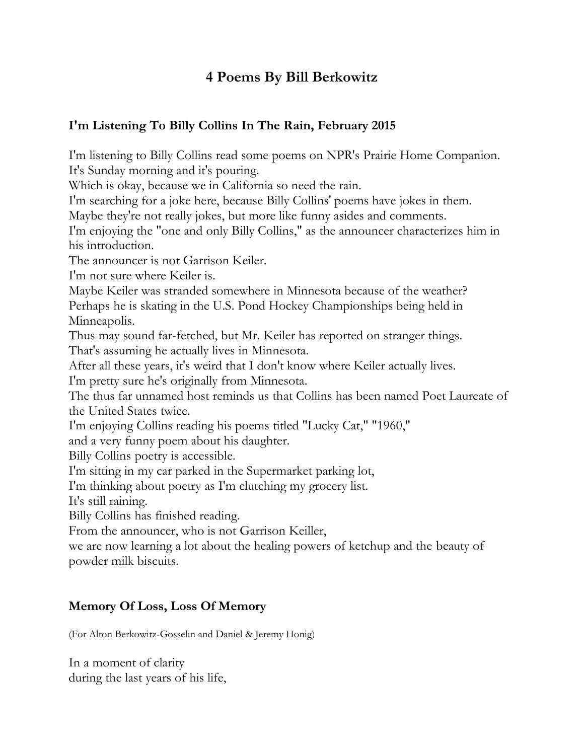# **4 Poems By Bill Berkowitz**

### **I'm Listening To Billy Collins In The Rain, February 2015**

I'm listening to Billy Collins read some poems on NPR's Prairie Home Companion. It's Sunday morning and it's pouring.

Which is okay, because we in California so need the rain.

I'm searching for a joke here, because Billy Collins' poems have jokes in them.

Maybe they're not really jokes, but more like funny asides and comments.

I'm enjoying the "one and only Billy Collins," as the announcer characterizes him in his introduction.

The announcer is not Garrison Keiler.

I'm not sure where Keiler is.

Maybe Keiler was stranded somewhere in Minnesota because of the weather? Perhaps he is skating in the U.S. Pond Hockey Championships being held in Minneapolis.

Thus may sound far-fetched, but Mr. Keiler has reported on stranger things.

That's assuming he actually lives in Minnesota.

After all these years, it's weird that I don't know where Keiler actually lives.

I'm pretty sure he's originally from Minnesota.

The thus far unnamed host reminds us that Collins has been named Poet Laureate of the United States twice.

I'm enjoying Collins reading his poems titled "Lucky Cat," "1960,"

and a very funny poem about his daughter.

Billy Collins poetry is accessible.

I'm sitting in my car parked in the Supermarket parking lot,

I'm thinking about poetry as I'm clutching my grocery list.

It's still raining.

Billy Collins has finished reading.

From the announcer, who is not Garrison Keiller,

we are now learning a lot about the healing powers of ketchup and the beauty of powder milk biscuits.

#### **Memory Of Loss, Loss Of Memory**

(For Alton Berkowitz-Gosselin and Daniel & Jeremy Honig)

In a moment of clarity during the last years of his life,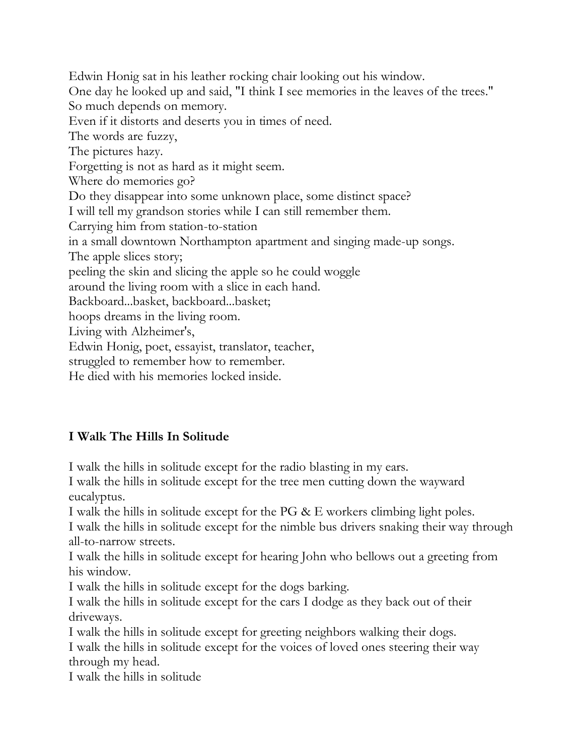Edwin Honig sat in his leather rocking chair looking out his window. One day he looked up and said, "I think I see memories in the leaves of the trees." So much depends on memory. Even if it distorts and deserts you in times of need. The words are fuzzy, The pictures hazy. Forgetting is not as hard as it might seem. Where do memories go? Do they disappear into some unknown place, some distinct space? I will tell my grandson stories while I can still remember them. Carrying him from station-to-station in a small downtown Northampton apartment and singing made-up songs. The apple slices story; peeling the skin and slicing the apple so he could woggle around the living room with a slice in each hand. Backboard...basket, backboard...basket; hoops dreams in the living room. Living with Alzheimer's, Edwin Honig, poet, essayist, translator, teacher, struggled to remember how to remember.

He died with his memories locked inside.

## **I Walk The Hills In Solitude**

I walk the hills in solitude except for the radio blasting in my ears.

I walk the hills in solitude except for the tree men cutting down the wayward eucalyptus.

I walk the hills in solitude except for the PG & E workers climbing light poles.

I walk the hills in solitude except for the nimble bus drivers snaking their way through all-to-narrow streets.

I walk the hills in solitude except for hearing John who bellows out a greeting from his window.

I walk the hills in solitude except for the dogs barking.

I walk the hills in solitude except for the cars I dodge as they back out of their driveways.

I walk the hills in solitude except for greeting neighbors walking their dogs. I walk the hills in solitude except for the voices of loved ones steering their way through my head.

I walk the hills in solitude